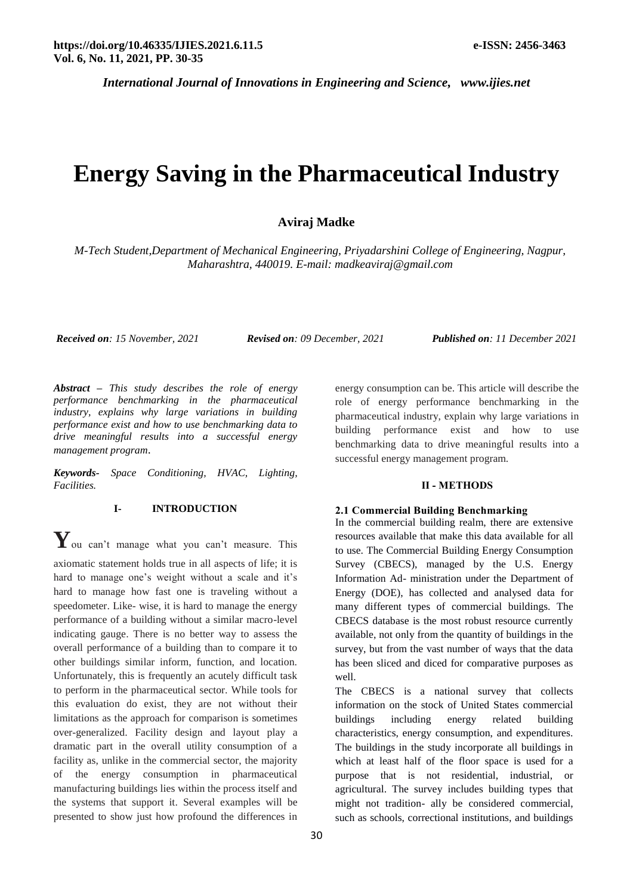# **Energy Saving in the Pharmaceutical Industry**

## **Aviraj Madke**

*M-Tech Student,Department of Mechanical Engineering, Priyadarshini College of Engineering, Nagpur, Maharashtra, 440019. E-mail: madkeaviraj@gmail.com*

*Received on: 15 November, 2021 Revised on: 09 December, 2021 Published on: 11 December 2021*

*Abstract – This study describes the role of energy performance benchmarking in the pharmaceutical industry, explains why large variations in building performance exist and how to use benchmarking data to drive meaningful results into a successful energy management program*.

*Keywords- Space Conditioning, HVAC, Lighting, Facilities.*

# **I- INTRODUCTION**

**Y**ou can't manage what you can't measure. This axiomatic statement holds true in all aspects of life; it is hard to manage one's weight without a scale and it's hard to manage how fast one is traveling without a speedometer. Like- wise, it is hard to manage the energy performance of a building without a similar macro-level indicating gauge. There is no better way to assess the overall performance of a building than to compare it to other buildings similar inform, function, and location. Unfortunately, this is frequently an acutely difficult task to perform in the pharmaceutical sector. While tools for this evaluation do exist, they are not without their limitations as the approach for comparison is sometimes over-generalized. Facility design and layout play a dramatic part in the overall utility consumption of a facility as, unlike in the commercial sector, the majority of the energy consumption in pharmaceutical manufacturing buildings lies within the process itself and the systems that support it. Several examples will be presented to show just how profound the differences in

energy consumption can be. This article will describe the role of energy performance benchmarking in the pharmaceutical industry, explain why large variations in building performance exist and how to use benchmarking data to drive meaningful results into a successful energy management program.

### **II - METHODS**

#### **2.1 Commercial Building Benchmarking**

In the commercial building realm, there are extensive resources available that make this data available for all to use. The Commercial Building Energy Consumption Survey (CBECS), managed by the U.S. Energy Information Ad- ministration under the Department of Energy (DOE), has collected and analysed data for many different types of commercial buildings. The CBECS database is the most robust resource currently available, not only from the quantity of buildings in the survey, but from the vast number of ways that the data has been sliced and diced for comparative purposes as well.

The CBECS is a national survey that collects information on the stock of United States commercial buildings including energy related building characteristics, energy consumption, and expenditures. The buildings in the study incorporate all buildings in which at least half of the floor space is used for a purpose that is not residential, industrial, or agricultural. The survey includes building types that might not tradition- ally be considered commercial, such as schools, correctional institutions, and buildings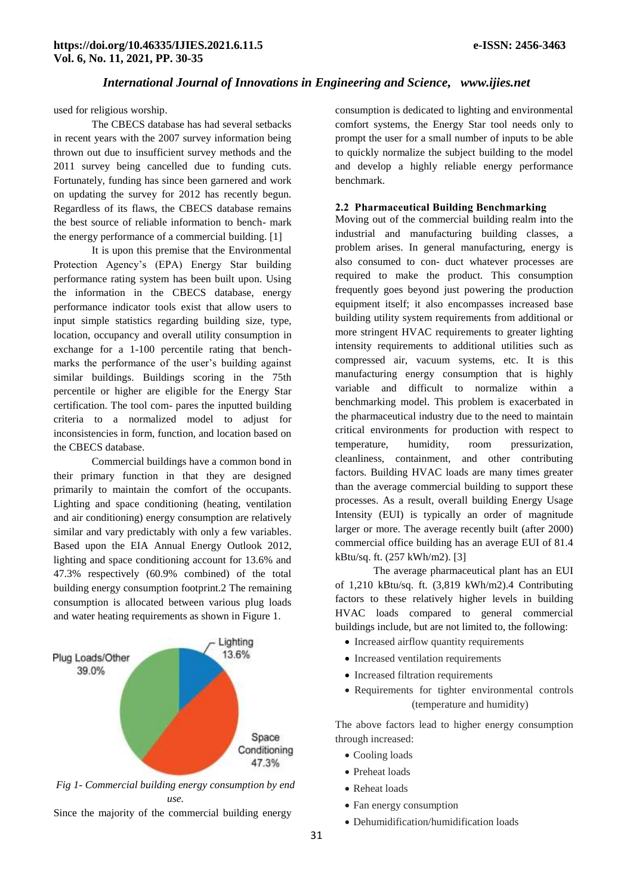used for religious worship.

The CBECS database has had several setbacks in recent years with the 2007 survey information being thrown out due to insufficient survey methods and the 2011 survey being cancelled due to funding cuts. Fortunately, funding has since been garnered and work on updating the survey for 2012 has recently begun. Regardless of its flaws, the CBECS database remains the best source of reliable information to bench- mark the energy performance of a commercial building. [1]

It is upon this premise that the Environmental Protection Agency's (EPA) Energy Star building performance rating system has been built upon. Using the information in the CBECS database, energy performance indicator tools exist that allow users to input simple statistics regarding building size, type, location, occupancy and overall utility consumption in exchange for a 1-100 percentile rating that benchmarks the performance of the user's building against similar buildings. Buildings scoring in the 75th percentile or higher are eligible for the Energy Star certification. The tool com- pares the inputted building criteria to a normalized model to adjust for inconsistencies in form, function, and location based on the CBECS database.

Commercial buildings have a common bond in their primary function in that they are designed primarily to maintain the comfort of the occupants. Lighting and space conditioning (heating, ventilation and air conditioning) energy consumption are relatively similar and vary predictably with only a few variables. Based upon the EIA Annual Energy Outlook 2012, lighting and space conditioning account for 13.6% and 47.3% respectively (60.9% combined) of the total building energy consumption footprint.2 The remaining consumption is allocated between various plug loads and water heating requirements as shown in Figure 1.



*Fig 1- Commercial building energy consumption by end use.*

Since the majority of the commercial building energy

consumption is dedicated to lighting and environmental comfort systems, the Energy Star tool needs only to prompt the user for a small number of inputs to be able to quickly normalize the subject building to the model and develop a highly reliable energy performance benchmark.

#### **2.2 Pharmaceutical Building Benchmarking**

Moving out of the commercial building realm into the industrial and manufacturing building classes, a problem arises. In general manufacturing, energy is also consumed to con- duct whatever processes are required to make the product. This consumption frequently goes beyond just powering the production equipment itself; it also encompasses increased base building utility system requirements from additional or more stringent HVAC requirements to greater lighting intensity requirements to additional utilities such as compressed air, vacuum systems, etc. It is this manufacturing energy consumption that is highly variable and difficult to normalize within a benchmarking model. This problem is exacerbated in the pharmaceutical industry due to the need to maintain critical environments for production with respect to temperature, humidity, room pressurization, cleanliness, containment, and other contributing factors. Building HVAC loads are many times greater than the average commercial building to support these processes. As a result, overall building Energy Usage Intensity (EUI) is typically an order of magnitude larger or more. The average recently built (after 2000) commercial office building has an average EUI of 81.4 kBtu/sq. ft. (257 kWh/m2). [3]

The average pharmaceutical plant has an EUI of 1,210 kBtu/sq. ft. (3,819 kWh/m2).4 Contributing factors to these relatively higher levels in building HVAC loads compared to general commercial buildings include, but are not limited to, the following:

- Increased airflow quantity requirements
- Increased ventilation requirements
- Increased filtration requirements
- Requirements for tighter environmental controls (temperature and humidity)

The above factors lead to higher energy consumption through increased:

- Cooling loads
- Preheat loads
- Reheat loads
- Fan energy consumption
- Dehumidification/humidification loads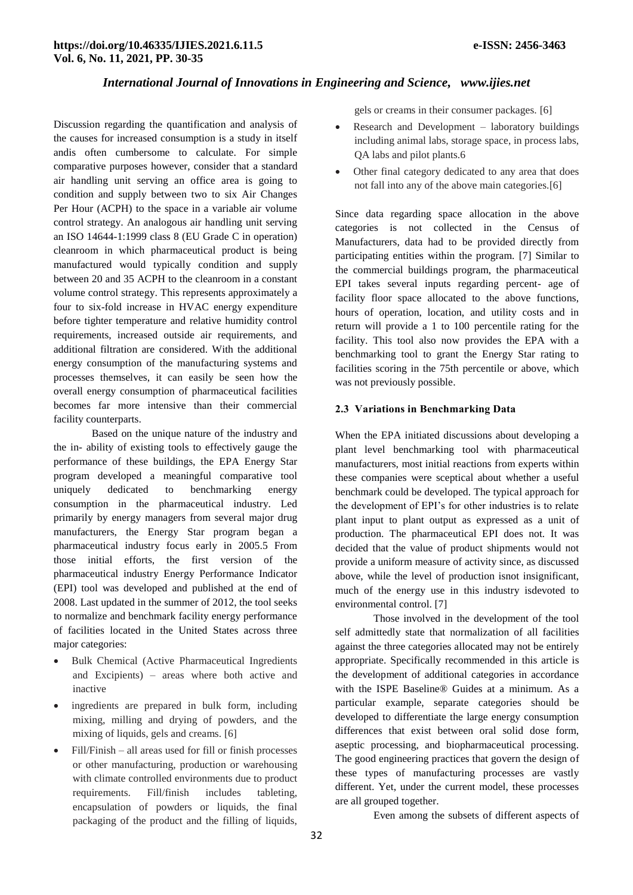Discussion regarding the quantification and analysis of the causes for increased consumption is a study in itself andis often cumbersome to calculate. For simple comparative purposes however, consider that a standard air handling unit serving an office area is going to condition and supply between two to six Air Changes Per Hour (ACPH) to the space in a variable air volume control strategy. An analogous air handling unit serving an ISO 14644-1:1999 class 8 (EU Grade C in operation) cleanroom in which pharmaceutical product is being manufactured would typically condition and supply between 20 and 35 ACPH to the cleanroom in a constant volume control strategy. This represents approximately a four to six-fold increase in HVAC energy expenditure before tighter temperature and relative humidity control requirements, increased outside air requirements, and additional filtration are considered. With the additional energy consumption of the manufacturing systems and processes themselves, it can easily be seen how the overall energy consumption of pharmaceutical facilities becomes far more intensive than their commercial facility counterparts.

Based on the unique nature of the industry and the in- ability of existing tools to effectively gauge the performance of these buildings, the EPA Energy Star program developed a meaningful comparative tool uniquely dedicated to benchmarking energy consumption in the pharmaceutical industry. Led primarily by energy managers from several major drug manufacturers, the Energy Star program began a pharmaceutical industry focus early in 2005.5 From those initial efforts, the first version of the pharmaceutical industry Energy Performance Indicator (EPI) tool was developed and published at the end of 2008. Last updated in the summer of 2012, the tool seeks to normalize and benchmark facility energy performance of facilities located in the United States across three major categories:

- Bulk Chemical (Active Pharmaceutical Ingredients and Excipients) – areas where both active and inactive
- ingredients are prepared in bulk form, including mixing, milling and drying of powders, and the mixing of liquids, gels and creams. [6]
- Fill/Finish all areas used for fill or finish processes or other manufacturing, production or warehousing with climate controlled environments due to product requirements. Fill/finish includes tableting, encapsulation of powders or liquids, the final packaging of the product and the filling of liquids,

gels or creams in their consumer packages. [6]

- Research and Development laboratory buildings including animal labs, storage space, in process labs, QA labs and pilot plants.6
- Other final category dedicated to any area that does not fall into any of the above main categories.[6]

Since data regarding space allocation in the above categories is not collected in the Census of Manufacturers, data had to be provided directly from participating entities within the program. [7] Similar to the commercial buildings program, the pharmaceutical EPI takes several inputs regarding percent- age of facility floor space allocated to the above functions, hours of operation, location, and utility costs and in return will provide a 1 to 100 percentile rating for the facility. This tool also now provides the EPA with a benchmarking tool to grant the Energy Star rating to facilities scoring in the 75th percentile or above, which was not previously possible.

#### **2.3 Variations in Benchmarking Data**

When the EPA initiated discussions about developing a plant level benchmarking tool with pharmaceutical manufacturers, most initial reactions from experts within these companies were sceptical about whether a useful benchmark could be developed. The typical approach for the development of EPI's for other industries is to relate plant input to plant output as expressed as a unit of production. The pharmaceutical EPI does not. It was decided that the value of product shipments would not provide a uniform measure of activity since, as discussed above, while the level of production isnot insignificant, much of the energy use in this industry isdevoted to environmental control. [7]

Those involved in the development of the tool self admittedly state that normalization of all facilities against the three categories allocated may not be entirely appropriate. Specifically recommended in this article is the development of additional categories in accordance with the ISPE Baseline® Guides at a minimum. As a particular example, separate categories should be developed to differentiate the large energy consumption differences that exist between oral solid dose form, aseptic processing, and biopharmaceutical processing. The good engineering practices that govern the design of these types of manufacturing processes are vastly different. Yet, under the current model, these processes are all grouped together.

Even among the subsets of different aspects of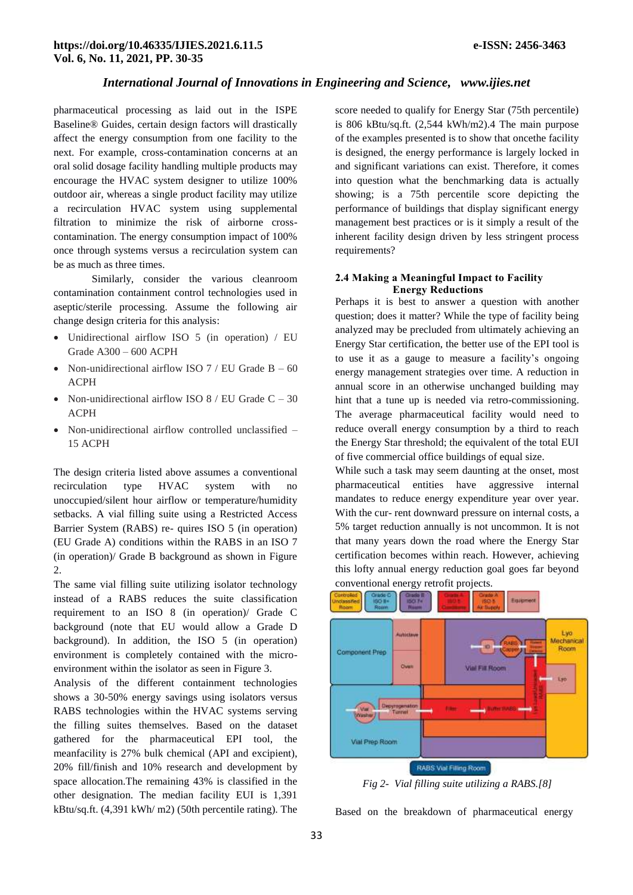pharmaceutical processing as laid out in the ISPE Baseline® Guides, certain design factors will drastically affect the energy consumption from one facility to the next. For example, cross-contamination concerns at an oral solid dosage facility handling multiple products may encourage the HVAC system designer to utilize 100% outdoor air, whereas a single product facility may utilize a recirculation HVAC system using supplemental filtration to minimize the risk of airborne crosscontamination. The energy consumption impact of 100% once through systems versus a recirculation system can be as much as three times.

Similarly, consider the various cleanroom contamination containment control technologies used in aseptic/sterile processing. Assume the following air change design criteria for this analysis:

- Unidirectional airflow ISO 5 (in operation) / EU Grade A300 – 600 ACPH
- Non-unidirectional airflow ISO  $7 / EU$  Grade B 60 ACPH
- Non-unidirectional airflow ISO  $8 / EU$  Grade  $C 30$ ACPH
- Non-unidirectional airflow controlled unclassified 15 ACPH

The design criteria listed above assumes a conventional recirculation type HVAC system with no unoccupied/silent hour airflow or temperature/humidity setbacks. A vial filling suite using a Restricted Access Barrier System (RABS) re- quires ISO 5 (in operation) (EU Grade A) conditions within the RABS in an ISO 7 (in operation)/ Grade B background as shown in Figure 2.

The same vial filling suite utilizing isolator technology instead of a RABS reduces the suite classification requirement to an ISO 8 (in operation)/ Grade C background (note that EU would allow a Grade D background). In addition, the ISO 5 (in operation) environment is completely contained with the microenvironment within the isolator as seen in Figure 3.

Analysis of the different containment technologies shows a 30-50% energy savings using isolators versus RABS technologies within the HVAC systems serving the filling suites themselves. Based on the dataset gathered for the pharmaceutical EPI tool, the meanfacility is 27% bulk chemical (API and excipient), 20% fill/finish and 10% research and development by space allocation.The remaining 43% is classified in the other designation. The median facility EUI is 1,391 kBtu/sq.ft. (4,391 kWh/ m2) (50th percentile rating). The

score needed to qualify for Energy Star (75th percentile) is 806 kBtu/sq.ft. (2,544 kWh/m2).4 The main purpose of the examples presented is to show that oncethe facility is designed, the energy performance is largely locked in and significant variations can exist. Therefore, it comes into question what the benchmarking data is actually showing; is a 75th percentile score depicting the performance of buildings that display significant energy management best practices or is it simply a result of the inherent facility design driven by less stringent process requirements?

#### **2.4 Making a Meaningful Impact to Facility Energy Reductions**

Perhaps it is best to answer a question with another question; does it matter? While the type of facility being analyzed may be precluded from ultimately achieving an Energy Star certification, the better use of the EPI tool is to use it as a gauge to measure a facility's ongoing energy management strategies over time. A reduction in annual score in an otherwise unchanged building may hint that a tune up is needed via retro-commissioning. The average pharmaceutical facility would need to reduce overall energy consumption by a third to reach the Energy Star threshold; the equivalent of the total EUI of five commercial office buildings of equal size.

While such a task may seem daunting at the onset, most pharmaceutical entities have aggressive internal mandates to reduce energy expenditure year over year. With the cur- rent downward pressure on internal costs, a 5% target reduction annually is not uncommon. It is not that many years down the road where the Energy Star certification becomes within reach. However, achieving this lofty annual energy reduction goal goes far beyond conventional energy retrofit projects.



*Fig 2- Vial filling suite utilizing a RABS.[8]*

Based on the breakdown of pharmaceutical energy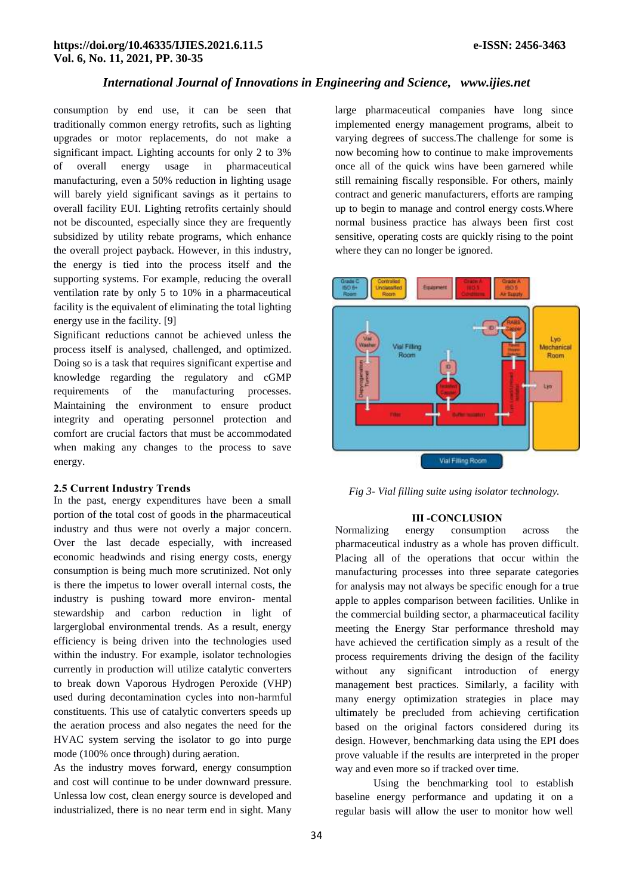consumption by end use, it can be seen that traditionally common energy retrofits, such as lighting upgrades or motor replacements, do not make a significant impact. Lighting accounts for only 2 to 3% of overall energy usage in pharmaceutical manufacturing, even a 50% reduction in lighting usage will barely yield significant savings as it pertains to overall facility EUI. Lighting retrofits certainly should not be discounted, especially since they are frequently subsidized by utility rebate programs, which enhance the overall project payback. However, in this industry, the energy is tied into the process itself and the supporting systems. For example, reducing the overall ventilation rate by only 5 to 10% in a pharmaceutical facility is the equivalent of eliminating the total lighting energy use in the facility. [9]

Significant reductions cannot be achieved unless the process itself is analysed, challenged, and optimized. Doing so is a task that requires significant expertise and knowledge regarding the regulatory and cGMP requirements of the manufacturing processes. Maintaining the environment to ensure product integrity and operating personnel protection and comfort are crucial factors that must be accommodated when making any changes to the process to save energy.

#### **2.5 Current Industry Trends**

In the past, energy expenditures have been a small portion of the total cost of goods in the pharmaceutical industry and thus were not overly a major concern. Over the last decade especially, with increased economic headwinds and rising energy costs, energy consumption is being much more scrutinized. Not only is there the impetus to lower overall internal costs, the industry is pushing toward more environ- mental stewardship and carbon reduction in light of largerglobal environmental trends. As a result, energy efficiency is being driven into the technologies used within the industry. For example, isolator technologies currently in production will utilize catalytic converters to break down Vaporous Hydrogen Peroxide (VHP) used during decontamination cycles into non-harmful constituents. This use of catalytic converters speeds up the aeration process and also negates the need for the HVAC system serving the isolator to go into purge mode (100% once through) during aeration.

As the industry moves forward, energy consumption and cost will continue to be under downward pressure. Unlessa low cost, clean energy source is developed and industrialized, there is no near term end in sight. Many

large pharmaceutical companies have long since implemented energy management programs, albeit to varying degrees of success.The challenge for some is now becoming how to continue to make improvements once all of the quick wins have been garnered while still remaining fiscally responsible. For others, mainly contract and generic manufacturers, efforts are ramping up to begin to manage and control energy costs.Where normal business practice has always been first cost sensitive, operating costs are quickly rising to the point where they can no longer be ignored.



*Fig 3- Vial filling suite using isolator technology.*

#### **III -CONCLUSION**

Normalizing energy consumption across the pharmaceutical industry as a whole has proven difficult. Placing all of the operations that occur within the manufacturing processes into three separate categories for analysis may not always be specific enough for a true apple to apples comparison between facilities. Unlike in the commercial building sector, a pharmaceutical facility meeting the Energy Star performance threshold may have achieved the certification simply as a result of the process requirements driving the design of the facility without any significant introduction of energy management best practices. Similarly, a facility with many energy optimization strategies in place may ultimately be precluded from achieving certification based on the original factors considered during its design. However, benchmarking data using the EPI does prove valuable if the results are interpreted in the proper way and even more so if tracked over time.

Using the benchmarking tool to establish baseline energy performance and updating it on a regular basis will allow the user to monitor how well